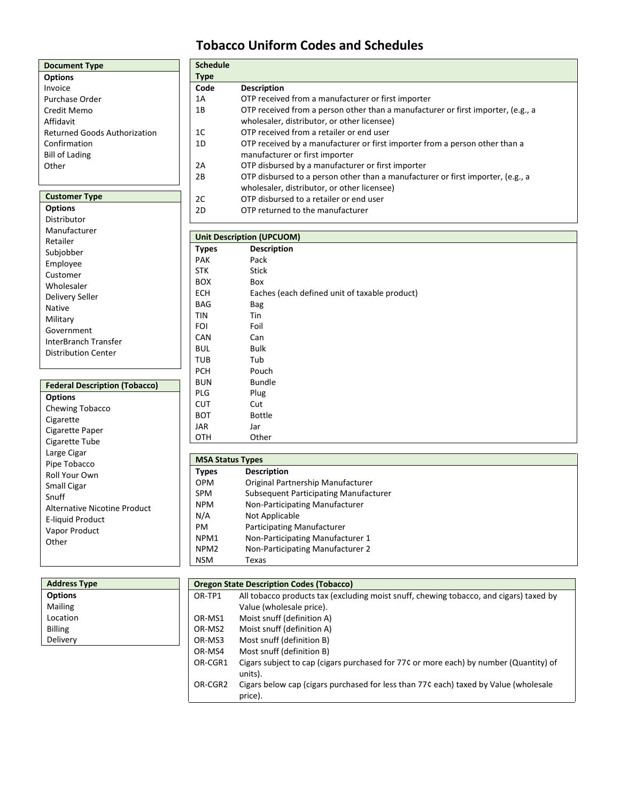# **Tobacco Uniform Codes and Schedules**

| <b>Document Type</b>                |  |  |  |
|-------------------------------------|--|--|--|
| <b>Options</b>                      |  |  |  |
| Invoice                             |  |  |  |
| Purchase Order                      |  |  |  |
| Credit Memo                         |  |  |  |
| Affidavit                           |  |  |  |
| <b>Returned Goods Authorization</b> |  |  |  |
| Confirmation                        |  |  |  |
| <b>Bill of Lading</b>               |  |  |  |
| <b>Other</b>                        |  |  |  |
|                                     |  |  |  |

#### **Customer Type Options**

| טווטווע              |
|----------------------|
| Distributor          |
| Manufacturer         |
| Retailer             |
| Subjobber            |
| Employee             |
| Customer             |
| Wholesaler           |
| Delivery Seller      |
| Native               |
| Military             |
| Government           |
| InterBranch Transfer |
| Distribution Center  |
|                      |

### **Federal Description (Tobacco)**

| <b>Options</b>                      |
|-------------------------------------|
| Chewing Tobacco                     |
| Cigarette                           |
| Cigarette Paper                     |
| Cigarette Tube                      |
| Large Cigar                         |
| Pipe Tobacco                        |
| Roll Your Own                       |
| Small Cigar                         |
| Snuff                               |
| <b>Alternative Nicotine Product</b> |
| E-liquid Product                    |
| Vapor Product                       |
| Other                               |
|                                     |

| <b>Schedule</b> |                                                                                                                                 |
|-----------------|---------------------------------------------------------------------------------------------------------------------------------|
| Type            |                                                                                                                                 |
| Code            | <b>Description</b>                                                                                                              |
| 1Α              | OTP received from a manufacturer or first importer                                                                              |
| 1В              | OTP received from a person other than a manufacturer or first importer, (e.g., a<br>wholesaler, distributor, or other licensee) |
| 1C              | OTP received from a retailer or end user                                                                                        |
| 1D              | OTP received by a manufacturer or first importer from a person other than a<br>manufacturer or first importer                   |
| 2A              | OTP disbursed by a manufacturer or first importer                                                                               |
| 2В              | OTP disbursed to a person other than a manufacturer or first importer, (e.g., a<br>wholesaler, distributor, or other licensee)  |
| 2C              | OTP disbursed to a retailer or end user                                                                                         |
| 2D              | OTP returned to the manufacturer                                                                                                |
|                 |                                                                                                                                 |

#### **Unit Description (UPCUOM)**

| <b>Types</b> | <b>Description</b>                            |
|--------------|-----------------------------------------------|
| <b>PAK</b>   | Pack                                          |
| <b>STK</b>   | <b>Stick</b>                                  |
| <b>BOX</b>   | Box                                           |
| <b>ECH</b>   | Eaches (each defined unit of taxable product) |
| <b>BAG</b>   | Bag                                           |
| TIN          | Tin                                           |
| FOI          | Foil                                          |
| <b>CAN</b>   | Can                                           |
| <b>BUL</b>   | <b>Bulk</b>                                   |
| TUB          | Tub                                           |
| <b>PCH</b>   | Pouch                                         |
| <b>BUN</b>   | <b>Bundle</b>                                 |
| <b>PLG</b>   | Plug                                          |
| <b>CUT</b>   | Cut                                           |
| <b>BOT</b>   | <b>Bottle</b>                                 |
| JAR          | Jar                                           |
| OTH          | Other                                         |

| <b>MSA Status Types</b> |                                       |  |  |  |
|-------------------------|---------------------------------------|--|--|--|
| Types                   | <b>Description</b>                    |  |  |  |
| OPM                     | Original Partnership Manufacturer     |  |  |  |
| SPM                     | Subsequent Participating Manufacturer |  |  |  |
| NPM                     | Non-Participating Manufacturer        |  |  |  |
| N/A                     | Not Applicable                        |  |  |  |
| PM                      | <b>Participating Manufacturer</b>     |  |  |  |
| NPM1                    | Non-Participating Manufacturer 1      |  |  |  |
| NPM2                    | Non-Participating Manufacturer 2      |  |  |  |
| NSM                     | Texas                                 |  |  |  |

| <b>Address Type</b> | <b>Oregon State Description Codes (Tobacco)</b> |                                                                                                  |  |
|---------------------|-------------------------------------------------|--------------------------------------------------------------------------------------------------|--|
| <b>Options</b>      | OR-TP1                                          | All tobacco products tax (excluding moist snuff, chewing tobacco, and cigars) taxed by           |  |
| <b>Mailing</b>      |                                                 | Value (wholesale price).                                                                         |  |
| Location            | OR-MS1                                          | Moist snuff (definition A)                                                                       |  |
| <b>Billing</b>      | OR-MS2                                          | Moist snuff (definition A)                                                                       |  |
| Delivery            | OR-MS3                                          | Most snuff (definition B)                                                                        |  |
|                     | OR-MS4                                          | Most snuff (definition B)                                                                        |  |
|                     | OR-CGR1                                         | Cigars subject to cap (cigars purchased for 77¢ or more each) by number (Quantity) of<br>units). |  |
|                     | OR-CGR2                                         | Cigars below cap (cigars purchased for less than 77¢ each) taxed by Value (wholesale<br>price).  |  |